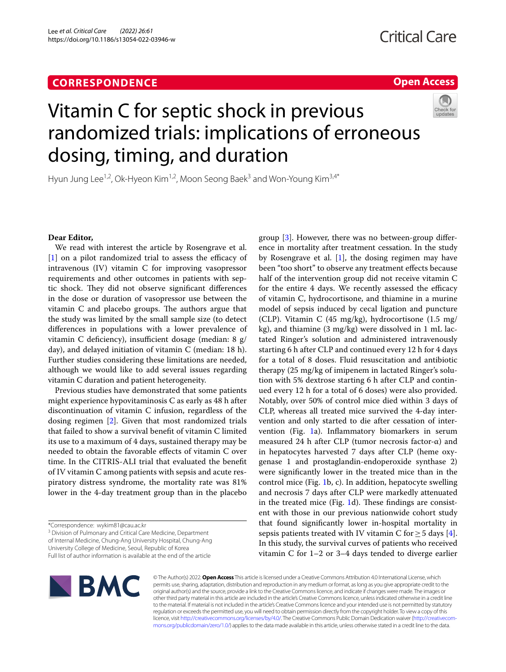# **CORRESPONDENCE**

# **Open Access**



# Vitamin C for septic shock in previous randomized trials: implications of erroneous dosing, timing, and duration

Hyun Jung Lee<sup>1,2</sup>, Ok-Hyeon Kim<sup>1,2</sup>, Moon Seong Baek<sup>3</sup> and Won-Young Kim<sup>3,4\*</sup>

# **Dear Editor,**

We read with interest the article by Rosengrave et al.  $[1]$  $[1]$  on a pilot randomized trial to assess the efficacy of intravenous (IV) vitamin C for improving vasopressor requirements and other outcomes in patients with septic shock. They did not observe significant differences in the dose or duration of vasopressor use between the vitamin  $C$  and placebo groups. The authors argue that the study was limited by the small sample size (to detect diferences in populations with a lower prevalence of vitamin C deficiency), insufficient dosage (median: 8  $g/$ day), and delayed initiation of vitamin C (median: 18 h). Further studies considering these limitations are needed, although we would like to add several issues regarding vitamin C duration and patient heterogeneity.

Previous studies have demonstrated that some patients might experience hypovitaminosis C as early as 48 h after discontinuation of vitamin C infusion, regardless of the dosing regimen [[2\]](#page-2-1). Given that most randomized trials that failed to show a survival beneft of vitamin C limited its use to a maximum of 4 days, sustained therapy may be needed to obtain the favorable efects of vitamin C over time. In the CITRIS-ALI trial that evaluated the beneft of IV vitamin C among patients with sepsis and acute respiratory distress syndrome, the mortality rate was 81% lower in the 4-day treatment group than in the placebo

<sup>3</sup> Division of Pulmonary and Critical Care Medicine, Department of Internal Medicine, Chung‑Ang University Hospital, Chung-Ang University College of Medicine, Seoul, Republic of Korea

Full list of author information is available at the end of the article

**BMC** 

group [\[3](#page-2-2)]. However, there was no between-group diference in mortality after treatment cessation. In the study by Rosengrave et al.  $[1]$  $[1]$ , the dosing regimen may have been "too short" to observe any treatment efects because half of the intervention group did not receive vitamin C for the entire 4 days. We recently assessed the efficacy of vitamin C, hydrocortisone, and thiamine in a murine model of sepsis induced by cecal ligation and puncture (CLP). Vitamin C (45 mg/kg), hydrocortisone (1.5 mg/ kg), and thiamine (3 mg/kg) were dissolved in 1 mL lactated Ringer's solution and administered intravenously starting 6 h after CLP and continued every 12 h for 4 days for a total of 8 doses. Fluid resuscitation and antibiotic therapy (25 mg/kg of imipenem in lactated Ringer's solution with 5% dextrose starting 6 h after CLP and continued every 12 h for a total of 6 doses) were also provided. Notably, over 50% of control mice died within 3 days of CLP, whereas all treated mice survived the 4-day intervention and only started to die after cessation of intervention (Fig. [1a](#page-1-0)). Infammatory biomarkers in serum measured 24 h after CLP (tumor necrosis factor- $\alpha$ ) and in hepatocytes harvested 7 days after CLP (heme oxygenase 1 and prostaglandin-endoperoxide synthase 2) were signifcantly lower in the treated mice than in the control mice (Fig. [1b](#page-1-0), c). In addition, hepatocyte swelling and necrosis 7 days after CLP were markedly attenuated in the treated mice (Fig.  $1d$ ). These findings are consistent with those in our previous nationwide cohort study that found signifcantly lower in-hospital mortality in sepsis patients treated with IV vitamin C for  $\geq$  5 days [\[4](#page-2-3)]. In this study, the survival curves of patients who received vitamin C for 1–2 or 3–4 days tended to diverge earlier

© The Author(s) 2022. **Open Access** This article is licensed under a Creative Commons Attribution 4.0 International License, which permits use, sharing, adaptation, distribution and reproduction in any medium or format, as long as you give appropriate credit to the original author(s) and the source, provide a link to the Creative Commons licence, and indicate if changes were made. The images or other third party material in this article are included in the article's Creative Commons licence, unless indicated otherwise in a credit line to the material. If material is not included in the article's Creative Commons licence and your intended use is not permitted by statutory regulation or exceeds the permitted use, you will need to obtain permission directly from the copyright holder. To view a copy of this licence, visit [http://creativecommons.org/licenses/by/4.0/.](http://creativecommons.org/licenses/by/4.0/) The Creative Commons Public Domain Dedication waiver (http://creativecom· [mons.org/publicdomain/zero/1.0/\)](http://creativecommons.org/publicdomain/zero/1.0/) applies to the data made available in this article, unless otherwise stated in a credit line to the data.

<sup>\*</sup>Correspondence: wykim81@cau.ac.kr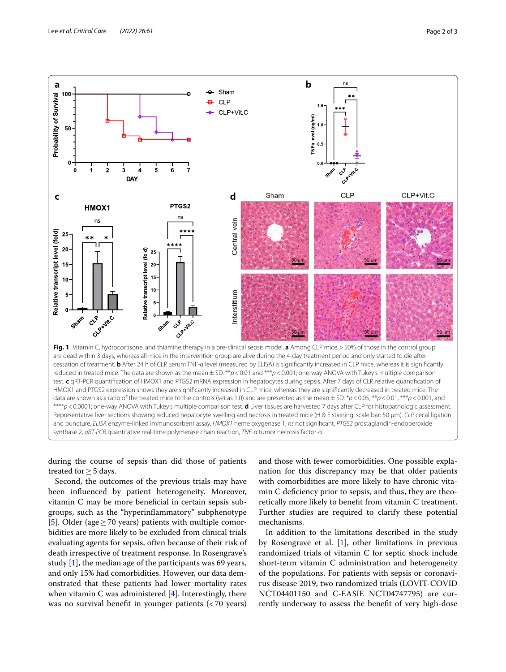

<span id="page-1-0"></span>during the course of sepsis than did those of patients treated for  $\geq$  5 days.

Second, the outcomes of the previous trials may have been infuenced by patient heterogeneity. Moreover, vitamin C may be more benefcial in certain sepsis subgroups, such as the "hyperinfammatory" subphenotype [[5\]](#page-2-4). Older (age  $\geq$  70 years) patients with multiple comorbidities are more likely to be excluded from clinical trials evaluating agents for sepsis, often because of their risk of death irrespective of treatment response. In Rosengrave's study [\[1](#page-2-0)], the median age of the participants was 69 years, and only 15% had comorbidities. However, our data demonstrated that these patients had lower mortality rates when vitamin C was administered  $[4]$  $[4]$ . Interestingly, there was no survival benefit in younger patients  $\left( < 70 \right)$  years)

and those with fewer comorbidities. One possible explanation for this discrepancy may be that older patients with comorbidities are more likely to have chronic vitamin C defciency prior to sepsis, and thus, they are theoretically more likely to beneft from vitamin C treatment. Further studies are required to clarify these potential mechanisms.

In addition to the limitations described in the study by Rosengrave et al.  $[1]$  $[1]$ , other limitations in previous randomized trials of vitamin C for septic shock include short-term vitamin C administration and heterogeneity of the populations. For patients with sepsis or coronavirus disease 2019, two randomized trials (LOVIT-COVID NCT04401150 and C-EASIE NCT04747795) are currently underway to assess the beneft of very high-dose